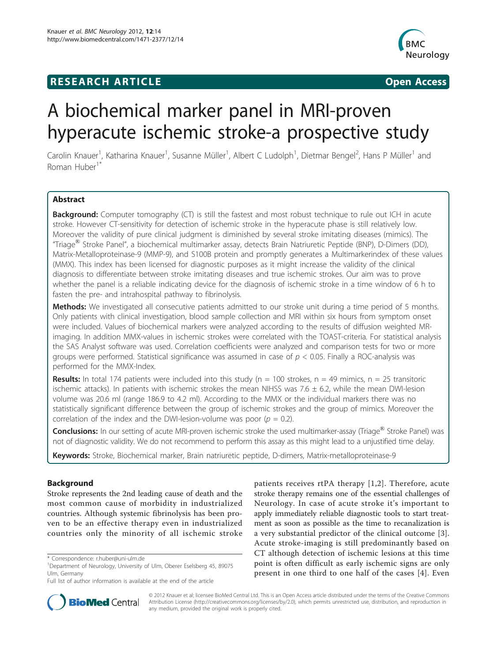## **RESEARCH ARTICLE Example 2008 CONSIDERING CONSIDERING CONSIDERING CONSIDERING CONSIDERING CONSIDERING CONSIDERING CONSIDERING CONSIDERING CONSIDERING CONSIDERING CONSIDERING CONSIDERING CONSIDERING CONSIDERING CONSIDE**



# A biochemical marker panel in MRI-proven hyperacute ischemic stroke-a prospective study

Carolin Knauer<sup>1</sup>, Katharina Knauer<sup>1</sup>, Susanne Müller<sup>1</sup>, Albert C Ludolph<sup>1</sup>, Dietmar Bengel<sup>2</sup>, Hans P Müller<sup>1</sup> and Roman Huber1\*

## Abstract

Background: Computer tomography (CT) is still the fastest and most robust technique to rule out ICH in acute stroke. However CT-sensitivity for detection of ischemic stroke in the hyperacute phase is still relatively low. Moreover the validity of pure clinical judgment is diminished by several stroke imitating diseases (mimics). The "Triage® Stroke Panel", a biochemical multimarker assay, detects Brain Natriuretic Peptide (BNP), D-Dimers (DD), Matrix-Metalloproteinase-9 (MMP-9), and S100B protein and promptly generates a Multimarkerindex of these values (MMX). This index has been licensed for diagnostic purposes as it might increase the validity of the clinical diagnosis to differentiate between stroke imitating diseases and true ischemic strokes. Our aim was to prove whether the panel is a reliable indicating device for the diagnosis of ischemic stroke in a time window of 6 h to fasten the pre- and intrahospital pathway to fibrinolysis.

Methods: We investigated all consecutive patients admitted to our stroke unit during a time period of 5 months. Only patients with clinical investigation, blood sample collection and MRI within six hours from symptom onset were included. Values of biochemical markers were analyzed according to the results of diffusion weighted MRimaging. In addition MMX-values in ischemic strokes were correlated with the TOAST-criteria. For statistical analysis the SAS Analyst software was used. Correlation coefficients were analyzed and comparison tests for two or more groups were performed. Statistical significance was assumed in case of  $p < 0.05$ . Finally a ROC-analysis was performed for the MMX-Index.

**Results:** In total 174 patients were included into this study ( $n = 100$  strokes,  $n = 49$  mimics,  $n = 25$  transitoric ischemic attacks). In patients with ischemic strokes the mean NIHSS was  $7.6 \pm 6.2$ , while the mean DWI-lesion volume was 20.6 ml (range 186.9 to 4.2 ml). According to the MMX or the individual markers there was no statistically significant difference between the group of ischemic strokes and the group of mimics. Moreover the correlation of the index and the DWI-lesion-volume was poor ( $p = 0.2$ ).

Conclusions: In our setting of acute MRI-proven ischemic stroke the used multimarker-assay (Triage<sup>®</sup> Stroke Panel) was not of diagnostic validity. We do not recommend to perform this assay as this might lead to a unjustified time delay.

Keywords: Stroke, Biochemical marker, Brain natriuretic peptide, D-dimers, Matrix-metalloproteinase-9

## Background

Stroke represents the 2nd leading cause of death and the most common cause of morbidity in industrialized countries. Although systemic fibrinolysis has been proven to be an effective therapy even in industrialized countries only the minority of all ischemic stroke

patients receives rtPA therapy [\[1,2](#page-5-0)]. Therefore, acute stroke therapy remains one of the essential challenges of Neurology. In case of acute stroke it's important to apply immediately reliable diagnostic tools to start treatment as soon as possible as the time to recanalization is a very substantial predictor of the clinical outcome [[3](#page-5-0)]. Acute stroke-imaging is still predominantly based on CT although detection of ischemic lesions at this time point is often difficult as early ischemic signs are only present in one third to one half of the cases [[4\]](#page-6-0). Even



© 2012 Knauer et al; licensee BioMed Central Ltd. This is an Open Access article distributed under the terms of the Creative Commons Attribution License [\(http://creativecommons.org/licenses/by/2.0](http://creativecommons.org/licenses/by/2.0)), which permits unrestricted use, distribution, and reproduction in any medium, provided the original work is properly cited.

<sup>\*</sup> Correspondence: [r.huber@uni-ulm.de](mailto:r.huber@uni-ulm.de)

<sup>&</sup>lt;sup>1</sup>Department of Neurology, University of Ulm, Oberer Eselsberg 45, 89075 Ulm, Germany

Full list of author information is available at the end of the article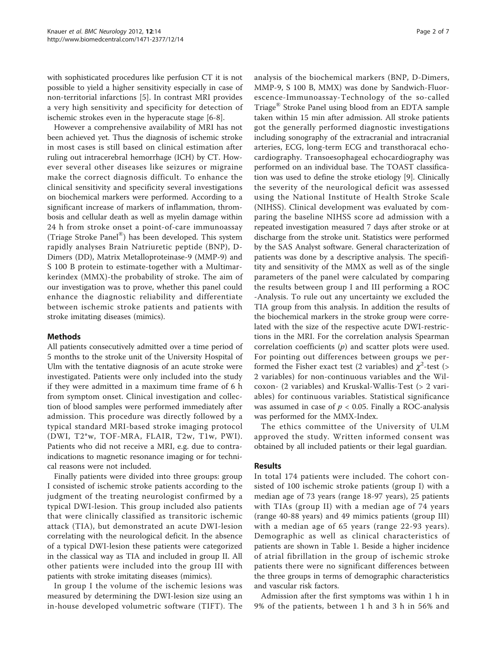with sophisticated procedures like perfusion CT it is not possible to yield a higher sensitivity especially in case of non-territorial infarctions [\[5](#page-6-0)]. In contrast MRI provides a very high sensitivity and specificity for detection of ischemic strokes even in the hyperacute stage [[6-8](#page-6-0)].

However a comprehensive availability of MRI has not been achieved yet. Thus the diagnosis of ischemic stroke in most cases is still based on clinical estimation after ruling out intracerebral hemorrhage (ICH) by CT. However several other diseases like seizures or migraine make the correct diagnosis difficult. To enhance the clinical sensitivity and specificity several investigations on biochemical markers were performed. According to a significant increase of markers of inflammation, thrombosis and cellular death as well as myelin damage within 24 h from stroke onset a point-of-care immunoassay (Triage Stroke Panel®) has been developed. This system rapidly analyses Brain Natriuretic peptide (BNP), D-Dimers (DD), Matrix Metalloproteinase-9 (MMP-9) and S 100 B protein to estimate-together with a Multimarkerindex (MMX)-the probability of stroke. The aim of our investigation was to prove, whether this panel could enhance the diagnostic reliability and differentiate between ischemic stroke patients and patients with stroke imitating diseases (mimics).

## Methods

All patients consecutively admitted over a time period of 5 months to the stroke unit of the University Hospital of Ulm with the tentative diagnosis of an acute stroke were investigated. Patients were only included into the study if they were admitted in a maximum time frame of 6 h from symptom onset. Clinical investigation and collection of blood samples were performed immediately after admission. This procedure was directly followed by a typical standard MRI-based stroke imaging protocol (DWI, T2\*w, TOF-MRA, FLAIR, T2w, T1w, PWI). Patients who did not receive a MRI, e.g. due to contraindications to magnetic resonance imaging or for technical reasons were not included.

Finally patients were divided into three groups: group I consisted of ischemic stroke patients according to the judgment of the treating neurologist confirmed by a typical DWI-lesion. This group included also patients that were clinically classified as transitoric ischemic attack (TIA), but demonstrated an acute DWI-lesion correlating with the neurological deficit. In the absence of a typical DWI-lesion these patients were categorized in the classical way as TIA and included in group II. All other patients were included into the group III with patients with stroke imitating diseases (mimics).

In group I the volume of the ischemic lesions was measured by determining the DWI-lesion size using an in-house developed volumetric software (TIFT). The analysis of the biochemical markers (BNP, D-Dimers, MMP-9, S 100 B, MMX) was done by Sandwich-Fluorescence-Immunoassay-Technology of the so-called Triage® Stroke Panel using blood from an EDTA sample taken within 15 min after admission. All stroke patients got the generally performed diagnostic investigations including sonography of the extracranial and intracranial arteries, ECG, long-term ECG and transthoracal echocardiography. Transoesophageal echocardiography was performed on an individual base. The TOAST classification was used to define the stroke etiology [\[9\]](#page-6-0). Clinically the severity of the neurological deficit was assessed using the National Institute of Health Stroke Scale (NIHSS). Clinical development was evaluated by comparing the baseline NIHSS score ad admission with a repeated investigation measured 7 days after stroke or at discharge from the stroke unit. Statistics were performed by the SAS Analyst software. General characterization of patients was done by a descriptive analysis. The specifitity and sensitivity of the MMX as well as of the single parameters of the panel were calculated by comparing the results between group I and III performing a ROC -Analysis. To rule out any uncertainty we excluded the TIA group from this analysis. In addition the results of the biochemical markers in the stroke group were correlated with the size of the respective acute DWI-restrictions in the MRI. For the correlation analysis Spearman correlation coefficients  $(p)$  and scatter plots were used. For pointing out differences between groups we performed the Fisher exact test (2 variables) and  $\chi^2$ -test (> 2 variables) for non-continuous variables and the Wilcoxon- (2 variables) and Kruskal-Wallis-Test (> 2 variables) for continuous variables. Statistical significance was assumed in case of  $p < 0.05$ . Finally a ROC-analysis was performed for the MMX-Index.

The ethics committee of the University of ULM approved the study. Written informed consent was obtained by all included patients or their legal guardian.

### Results

In total 174 patients were included. The cohort consisted of 100 ischemic stroke patients (group I) with a median age of 73 years (range 18-97 years), 25 patients with TIAs (group II) with a median age of 74 years (range 40-88 years) and 49 mimics patients (group III) with a median age of 65 years (range 22-93 years). Demographic as well as clinical characteristics of patients are shown in Table [1](#page-2-0). Beside a higher incidence of atrial fibrillation in the group of ischemic stroke patients there were no significant differences between the three groups in terms of demographic characteristics and vascular risk factors.

Admission after the first symptoms was within 1 h in 9% of the patients, between 1 h and 3 h in 56% and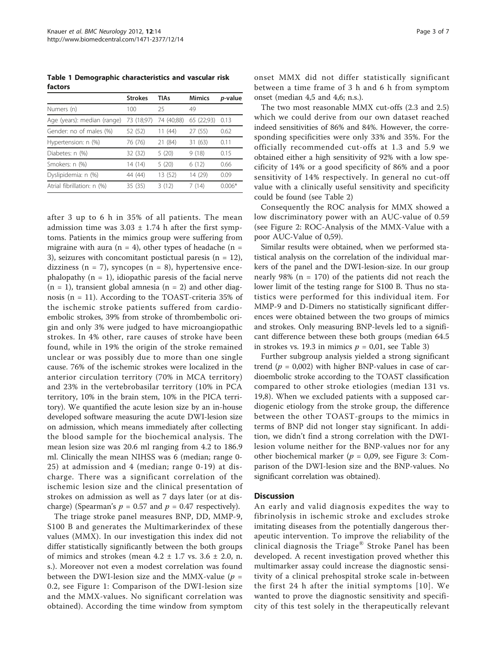<span id="page-2-0"></span>Table 1 Demographic characteristics and vascular risk factors

|                             | <b>Strokes</b> | <b>TIAs</b> | <b>Mimics</b> | p-value  |
|-----------------------------|----------------|-------------|---------------|----------|
| Numers (n)                  | 100            | 25          | 49            |          |
| Age (years): median (range) | 73 (18;97)     | 74 (40;88)  | 65 (22;93)    | 0.13     |
| Gender: no of males (%)     | 52 (52)        | 11(44)      | 27 (55)       | 0.62     |
| Hypertension: n (%)         | 76 (76)        | 21 (84)     | 31 (63)       | 0.11     |
| Diabetes: n (%)             | 32 (32)        | 5(20)       | 9(18)         | 0.15     |
| Smokers: n (%)              | 14 (14)        | 5(20)       | 6(12)         | 0.66     |
| Dyslipidemia: n (%)         | 44 (44)        | 13 (52)     | 14 (29)       | 0.09     |
| Atrial fibrillation: n (%)  | 35 (35)        | 3(12)       | 7 (14)        | $0.006*$ |

after 3 up to 6 h in 35% of all patients. The mean admission time was  $3.03 \pm 1.74$  h after the first symptoms. Patients in the mimics group were suffering from migraine with aura ( $n = 4$ ), other types of headache ( $n = 1$ 3), seizures with concomitant postictual paresis  $(n = 12)$ , dizziness ( $n = 7$ ), syncopes ( $n = 8$ ), hypertensive encephalopathy  $(n = 1)$ , idiopathic paresis of the facial nerve  $(n = 1)$ , transient global amnesia  $(n = 2)$  and other diagnosis (n = 11). According to the TOAST-criteria 35% of the ischemic stroke patients suffered from cardioembolic strokes, 39% from stroke of thrombembolic origin and only 3% were judged to have microangiopathic strokes. In 4% other, rare causes of stroke have been found, while in 19% the origin of the stroke remained unclear or was possibly due to more than one single cause. 76% of the ischemic strokes were localized in the anterior circulation territory (70% in MCA territory) and 23% in the vertebrobasilar territory (10% in PCA territory, 10% in the brain stem, 10% in the PICA territory). We quantified the acute lesion size by an in-house developed software measuring the acute DWI-lesion size on admission, which means immediately after collecting the blood sample for the biochemical analysis. The mean lesion size was 20.6 ml ranging from 4.2 to 186.9 ml. Clinically the mean NIHSS was 6 (median; range 0- 25) at admission and 4 (median; range 0-19) at discharge. There was a significant correlation of the ischemic lesion size and the clinical presentation of strokes on admission as well as 7 days later (or at discharge) (Spearman's  $p = 0.57$  and  $p = 0.47$  respectively).

The triage stroke panel measures BNP, DD, MMP-9, S100 B and generates the Multimarkerindex of these values (MMX). In our investigation this index did not differ statistically significantly between the both groups of mimics and strokes (mean  $4.2 \pm 1.7$  vs.  $3.6 \pm 2.0$ , n. s.). Moreover not even a modest correlation was found between the DWI-lesion size and the MMX-value ( $p =$ 0.2, see Figure [1:](#page-3-0) Comparison of the DWI-lesion size and the MMX-values. No significant correlation was obtained). According the time window from symptom

The two most reasonable MMX cut-offs (2.3 and 2.5) which we could derive from our own dataset reached indeed sensitivities of 86% and 84%. However, the corresponding specificities were only 33% and 35%. For the officially recommended cut-offs at 1.3 and 5.9 we obtained either a high sensitivity of 92% with a low specificity of 14% or a good specificity of 86% and a poor sensitivity of 14% respectively. In general no cut-off value with a clinically useful sensitivity and specificity could be found (see Table [2](#page-3-0))

Consequently the ROC analysis for MMX showed a low discriminatory power with an AUC-value of 0.59 (see Figure [2](#page-4-0): ROC-Analysis of the MMX-Value with a poor AUC-Value of 0,59).

Similar results were obtained, when we performed statistical analysis on the correlation of the individual markers of the panel and the DWI-lesion-size. In our group nearly 98% ( $n = 170$ ) of the patients did not reach the lower limit of the testing range for S100 B. Thus no statistics were performed for this individual item. For MMP-9 and D-Dimers no statistically significant differences were obtained between the two groups of mimics and strokes. Only measuring BNP-levels led to a significant difference between these both groups (median 64.5 in strokes vs. 19.3 in mimics  $p = 0.01$ , see Table [3\)](#page-4-0)

Further subgroup analysis yielded a strong significant trend ( $p = 0.002$ ) with higher BNP-values in case of cardioembolic stroke according to the TOAST classification compared to other stroke etiologies (median 131 vs. 19,8). When we excluded patients with a supposed cardiogenic etiology from the stroke group, the difference between the other TOAST-groups to the mimics in terms of BNP did not longer stay significant. In addition, we didn't find a strong correlation with the DWIlesion volume neither for the BNP-values nor for any other biochemical marker ( $p = 0.09$ , see Figure [3](#page-5-0): Comparison of the DWI-lesion size and the BNP-values. No significant correlation was obtained).

## **Discussion**

An early and valid diagnosis expedites the way to fibrinolysis in ischemic stroke and excludes stroke imitating diseases from the potentially dangerous therapeutic intervention. To improve the reliability of the clinical diagnosis the Triage® Stroke Panel has been developed. A recent investigation proved whether this multimarker assay could increase the diagnostic sensitivity of a clinical prehospital stroke scale in-between the first 24 h after the initial symptoms [[10](#page-6-0)]. We wanted to prove the diagnostic sensitivity and specificity of this test solely in the therapeutically relevant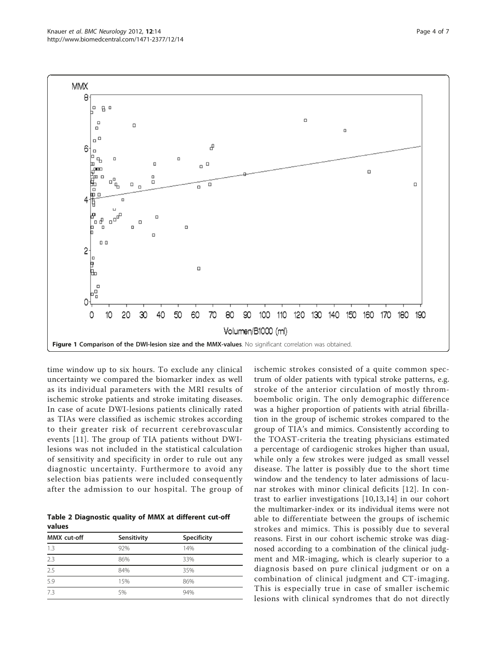<span id="page-3-0"></span>

time window up to six hours. To exclude any clinical uncertainty we compared the biomarker index as well as its individual parameters with the MRI results of ischemic stroke patients and stroke imitating diseases. In case of acute DWI-lesions patients clinically rated as TIAs were classified as ischemic strokes according to their greater risk of recurrent cerebrovascular events [[11\]](#page-6-0). The group of TIA patients without DWIlesions was not included in the statistical calculation of sensitivity and specificity in order to rule out any diagnostic uncertainty. Furthermore to avoid any selection bias patients were included consequently after the admission to our hospital. The group of

Table 2 Diagnostic quality of MMX at different cut-off values

| Sensitivity | Specificity |
|-------------|-------------|
| 92%         | 14%         |
| 86%         | 33%         |
| 84%         | 35%         |
| 15%         | 86%         |
| 5%          | 94%         |
|             |             |

ischemic strokes consisted of a quite common spectrum of older patients with typical stroke patterns, e.g. stroke of the anterior circulation of mostly thromboembolic origin. The only demographic difference was a higher proportion of patients with atrial fibrillation in the group of ischemic strokes compared to the group of TIA's and mimics. Consistently according to the TOAST-criteria the treating physicians estimated a percentage of cardiogenic strokes higher than usual, while only a few strokes were judged as small vessel disease. The latter is possibly due to the short time window and the tendency to later admissions of lacunar strokes with minor clinical deficits [[12](#page-6-0)]. In contrast to earlier investigations [\[10,13](#page-6-0),[14](#page-6-0)] in our cohort the multimarker-index or its individual items were not able to differentiate between the groups of ischemic strokes and mimics. This is possibly due to several reasons. First in our cohort ischemic stroke was diagnosed according to a combination of the clinical judgment and MR-imaging, which is clearly superior to a diagnosis based on pure clinical judgment or on a combination of clinical judgment and CT-imaging. This is especially true in case of smaller ischemic lesions with clinical syndromes that do not directly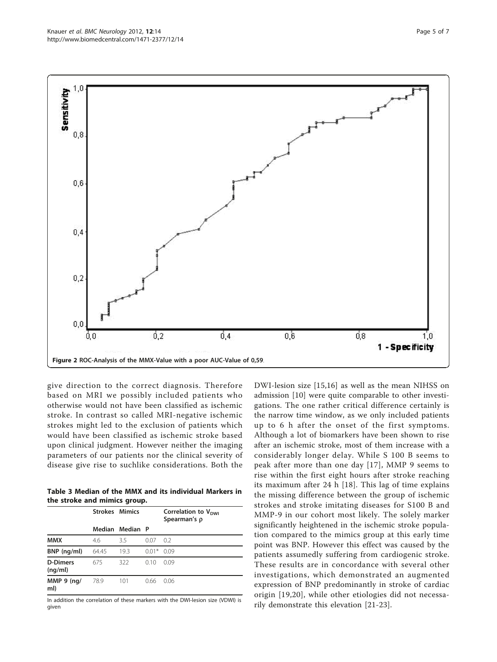<span id="page-4-0"></span>

give direction to the correct diagnosis. Therefore based on MRI we possibly included patients who otherwise would not have been classified as ischemic stroke. In contrast so called MRI-negative ischemic strokes might led to the exclusion of patients which would have been classified as ischemic stroke based upon clinical judgment. However neither the imaging parameters of our patients nor the clinical severity of disease give rise to suchlike considerations. Both the

Table 3 Median of the MMX and its individual Markers in the stroke and mimics group.

|                            | <b>Strokes Mimics</b> |                 |         | Correlation to $V_{DWI}$<br>Spearman's ρ |
|----------------------------|-----------------------|-----------------|---------|------------------------------------------|
|                            |                       | Median Median P |         |                                          |
| <b>MMX</b>                 | 4.6                   | 3.5             | 0.07    | - 0.2                                    |
| BNP (ng/ml)                | 64.45                 | 19.3            | $0.01*$ | 0.09                                     |
| <b>D-Dimers</b><br>(nq/ml) | 675                   | 322             | 0.10    | 0.09                                     |
| MMP $9$ (ng/<br>ml)        | 78.9                  | 101             | 0.66    | 0.06                                     |

In addition the correlation of these markers with the DWI-lesion size (VDWI) is given

DWI-lesion size [\[15](#page-6-0),[16\]](#page-6-0) as well as the mean NIHSS on admission [[10\]](#page-6-0) were quite comparable to other investigations. The one rather critical difference certainly is the narrow time window, as we only included patients up to 6 h after the onset of the first symptoms. Although a lot of biomarkers have been shown to rise after an ischemic stroke, most of them increase with a considerably longer delay. While S 100 B seems to peak after more than one day [[17\]](#page-6-0), MMP 9 seems to rise within the first eight hours after stroke reaching its maximum after 24 h [[18](#page-6-0)]. This lag of time explains the missing difference between the group of ischemic strokes and stroke imitating diseases for S100 B and MMP-9 in our cohort most likely. The solely marker significantly heightened in the ischemic stroke population compared to the mimics group at this early time point was BNP. However this effect was caused by the patients assumedly suffering from cardiogenic stroke. These results are in concordance with several other investigations, which demonstrated an augmented expression of BNP predominantly in stroke of cardiac origin [\[19,20](#page-6-0)], while other etiologies did not necessarily demonstrate this elevation [[21-23](#page-6-0)].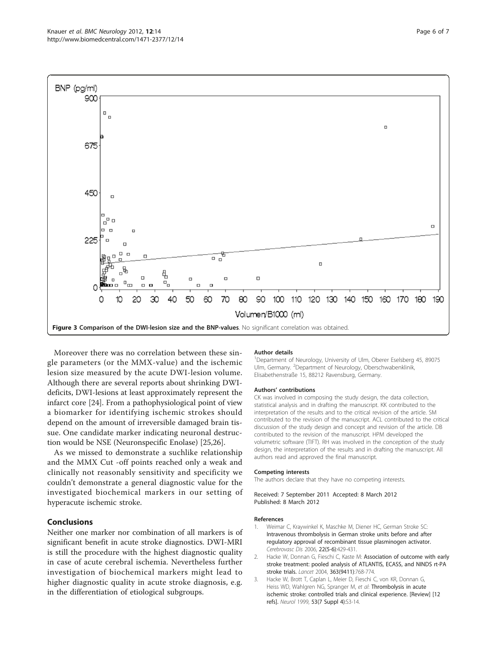<span id="page-5-0"></span>

Moreover there was no correlation between these single parameters (or the MMX-value) and the ischemic lesion size measured by the acute DWI-lesion volume. Although there are several reports about shrinking DWIdeficits, DWI-lesions at least approximately represent the infarct core [\[24](#page-6-0)]. From a pathophysiological point of view a biomarker for identifying ischemic strokes should depend on the amount of irreversible damaged brain tissue. One candidate marker indicating neuronal destruction would be NSE (Neuronspecific Enolase) [\[25,26\]](#page-6-0).

As we missed to demonstrate a suchlike relationship and the MMX Cut -off points reached only a weak and clinically not reasonably sensitivity and specificity we couldn't demonstrate a general diagnostic value for the investigated biochemical markers in our setting of hyperacute ischemic stroke.

## Conclusions

Neither one marker nor combination of all markers is of significant benefit in acute stroke diagnostics. DWI-MRI is still the procedure with the highest diagnostic quality in case of acute cerebral ischemia. Nevertheless further investigation of biochemical markers might lead to higher diagnostic quality in acute stroke diagnosis, e.g. in the differentiation of etiological subgroups.

#### Author details

<sup>1</sup>Department of Neurology, University of Ulm, Oberer Eselsberg 45, 89075 Ulm, Germany. <sup>2</sup>Department of Neurology, Oberschwabenklinik Elisabethenstraße 15, 88212 Ravensburg, Germany.

#### Authors' contributions

CK was involved in composing the study design, the data collection, statistical analysis and in drafting the manuscript. KK contributed to the interpretation of the results and to the critical revision of the article. SM contributed to the revision of the manuscript. ACL contributed to the critical discussion of the study design and concept and revision of the article. DB contributed to the revision of the manuscript. HPM developed the volumetric software (TIFT). RH was involved in the conception of the study design, the interpretation of the results and in drafting the manuscript. All authors read and approved the final manuscript.

#### Competing interests

The authors declare that they have no competing interests.

Received: 7 September 2011 Accepted: 8 March 2012 Published: 8 March 2012

#### References

- Weimar C, Kraywinkel K, Maschke M, Diener HC, German Stroke SC: [Intravenous thrombolysis in German stroke units before and after](http://www.ncbi.nlm.nih.gov/pubmed/16912477?dopt=Abstract) [regulatory approval of recombinant tissue plasminogen activator.](http://www.ncbi.nlm.nih.gov/pubmed/16912477?dopt=Abstract) Cerebrovasc Dis 2006, 22(5-6):429-431.
- 2. Hacke W, Donnan G, Fieschi C, Kaste M: [Association of outcome with early](http://www.ncbi.nlm.nih.gov/pubmed/15016487?dopt=Abstract) [stroke treatment: pooled analysis of ATLANTIS, ECASS, and NINDS rt-PA](http://www.ncbi.nlm.nih.gov/pubmed/15016487?dopt=Abstract) [stroke trials.](http://www.ncbi.nlm.nih.gov/pubmed/15016487?dopt=Abstract) Lancet 2004, 363(9411):768-774.
- 3. Hacke W, Brott T, Caplan L, Meier D, Fieschi C, von KR, Donnan G, Heiss WD, Wahlgren NG, Spranger M, et al: Thrombolysis in acute ischemic stroke: controlled trials and clinical experience. [Review] [12 refs]. Neurol 1999, 53(7 Suppl 4):S3-14.